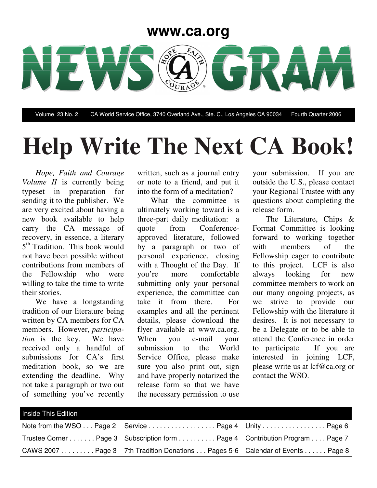### **www.ca.org**



Volume 23 No. 2 CA World Service Office, 3740 Overland Ave., Ste. C., Los Angeles CA 90034 Fourth Quarter 2006

# **Help Write The Next CA Book!**

*Hope, Faith and Courage Volume II* is currently being typeset in preparation for sending it to the publisher. We are very excited about having a new book available to help carry the CA message of recovery, in essence, a literary 5<sup>th</sup> Tradition. This book would not have been possible without contributions from members of the Fellowship who were willing to take the time to write their stories.

We have a longstanding tradition of our literature being written by CA members for CA members. However, *participation* is the key. We have received only a handful of submissions for CA's first meditation book, so we are extending the deadline. Why not take a paragraph or two out of something you've recently

written, such as a journal entry or note to a friend, and put it into the form of a meditation?

What the committee is ultimately working toward is a three-part daily meditation: a quote from Conferenceapproved literature, followed by a paragraph or two of personal experience, closing with a Thought of the Day. If you're more comfortable submitting only your personal experience, the committee can take it from there. For examples and all the pertinent details, please download the flyer available at www.ca.org. When you e-mail your submission to the World Service Office, please make sure you also print out, sign and have properly notarized the release form so that we have the necessary permission to use

your submission. If you are outside the U.S., please contact your Regional Trustee with any questions about completing the release form.

The Literature, Chips & Format Committee is looking forward to working together with members of the Fellowship eager to contribute to this project. LCF is also always looking for new committee members to work on our many ongoing projects, as we strive to provide our Fellowship with the literature it desires. It is not necessary to be a Delegate or to be able to attend the Conference in order to participate. If you are interested in joining LCF, please write us at lcf@ca.org or contact the WSO.

| Inside This Edition |                                                                              |  |
|---------------------|------------------------------------------------------------------------------|--|
|                     | Note from the WSO Page 2 Service Page 4 Unity Page 6                         |  |
|                     | Trustee Corner Page 3 Subscription form Page 4 Contribution Program Page 7   |  |
|                     | CAWS 2007 Page 3 7th Tradition Donations Pages 5-6 Calendar of Events Page 8 |  |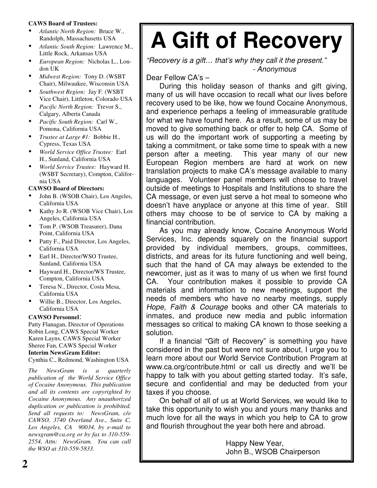### **CAWS Board of Trustees:**

- *Atlantic North Region:* Bruce W., Randolph, Massachusetts USA
- *Atlantic South Region:* Lawrence M., Little Rock, Arkansas USA
- *European Region:* Nicholas L., London UK
- *Midwest Region:* Tony D. (WSBT Chair), Milwaukee, Wisconsin USA
- *Southwest Region:* Jay F. (WSBT Vice Chair), Littleton, Colorado USA
- *Pacific North Region:* Trevor S., Calgary, Alberta Canada
- *Pacific South Region:* Carl W., Pomona, California USA
- *Trustee at Large #1:* Bobbie H., Cypress, Texas USA
- *World Service Office Trustee:* Earl H., Sunland, California USA
- *World Service Trustee:* Hayward H. (WSBT Secretary), Compton, California USA

### **CAWSO Board of Directors:**

- John B. (WSOB Chair), Los Angeles, California USA
- Kathy Jo R. (WSOB Vice Chair), Los Angeles, California USA
- Tom P. (WSOB Treasurer), Dana Point, California USA
- Patty F., Paid Director, Los Angeles, California USA
- Earl H., Director/WSO Trustee, Sunland, California USA
- Hayward H., Director/WS Trustee, Compton, California USA
- Teresa N., Director, Costa Mesa, California USA
- Willie B., Director, Los Angeles, California USA

### **CAWSO Personnel**:

Patty Flanagan, Director of Operations Robin Long, CAWS Special Worker Karen Layns, CAWS Special Worker Sheree Fan, CAWS Special Worker **Interim NewsGram Editor:**

Cynthia C., Redmond, Washington USA

*The NewsGram is a quarterly publication of the World Service Office of Cocaine Anonymous. This publication and all its contents are copyrighted by Cocaine Anonymous. Any unauthorized duplication or publication is prohibited. Send all requests to: NewsGram, c/o CAWSO, 3740 Overland Ave., Suite C, Los Angeles, CA 90034, by e-mail to newsgram@ca.org or by fax to 310-559- 2554, Attn: NewsGram. You can call the WSO at 310-559-5833.*

## **A Gift of Recovery**

*"Recovery is a gift… that's why they call it the present." - Anonymous*

Dear Fellow CA's –

During this holiday season of thanks and gift giving, many of us will have occasion to recall what our lives before recovery used to be like, how we found Cocaine Anonymous, and experience perhaps a feeling of immeasurable gratitude for what we have found here. As a result, some of us may be moved to give something back or offer to help CA. Some of us will do the important work of supporting a meeting by taking a commitment, or take some time to speak with a new person after a meeting. This year many of our new This year many of our new European Region members are hard at work on new translation projects to make CA's message available to many languages. Volunteer panel members will choose to travel outside of meetings to Hospitals and Institutions to share the CA message, or even just serve a hot meal to someone who doesn't have anyplace or anyone at this time of year. Still others may choose to be of service to CA by making a financial contribution.

As you may already know, Cocaine Anonymous World Services, Inc. depends squarely on the financial support provided by individual members, groups, committees, districts, and areas for its future functioning and well being, such that the hand of CA may always be extended to the newcomer, just as it was to many of us when we first found CA. Your contribution makes it possible to provide CA materials and information to new meetings, support the needs of members who have no nearby meetings, supply *Hope, Faith & Courage* books and other CA materials to inmates, and produce new media and public information messages so critical to making CA known to those seeking a solution.

If a financial "Gift of Recovery" is something you have considered in the past but were not sure about, I urge you to learn more about our World Service Contribution Program at www.ca.org/contribute.html or call us directly and we'll be happy to talk with you about getting started today. It's safe, secure and confidential and may be deducted from your taxes if you choose.

On behalf of all of us at World Services, we would like to take this opportunity to wish you and yours many thanks and much love for all the ways in which you help to CA to grow and flourish throughout the year both here and abroad.

> Happy New Year, John B., WSOB Chairperson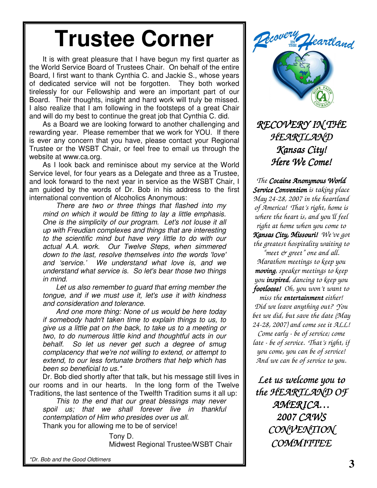## **Trustee Corner**

It is with great pleasure that I have begun my first quarter as the World Service Board of Trustees Chair. On behalf of the entire Board, I first want to thank Cynthia C. and Jackie S., whose years of dedicated service will not be forgotten. They both worked tirelessly for our Fellowship and were an important part of our Board. Their thoughts, insight and hard work will truly be missed. I also realize that I am following in the footsteps of a great Chair and will do my best to continue the great job that Cynthia C. did.

As a Board we are looking forward to another challenging and rewarding year. Please remember that we work for YOU. If there is ever any concern that you have, please contact your Regional Trustee or the WSBT Chair, or feel free to email us through the website at www.ca.org.

As I look back and reminisce about my service at the World Service level, for four years as a Delegate and three as a Trustee, and look forward to the next year in service as the WSBT Chair, I am guided by the words of Dr. Bob in his address to the first international convention of Alcoholics Anonymous:

*There are two or three things that flashed into my mind on which it would be fitting to lay a little emphasis. One is the simplicity of our program. Let's not louse it all up with Freudian complexes and things that are interesting to the scientific mind but have very little to do with our actual A.A. work. Our Twelve Steps, when simmered down to the last, resolve themselves into the words 'love' and 'service.' We understand what love is, and we understand what service is. So let's bear those two things in mind.*

*Let us also remember to guard that erring member the tongue, and if we must use it, let's use it with kindness and consideration and tolerance.*

*And one more thing: None of us would be here today if somebody hadn't taken time to explain things to us, to give us a little pat on the back, to take us to a meeting or two, to do numerous little kind and thoughtful acts in our behalf. So let us never get such a degree of smug complacency that we're not willing to extend, or attempt to extend, to our less fortunate brothers that help which has been so beneficial to us.\**

Dr. Bob died shortly after that talk, but his message still lives in our rooms and in our hearts. In the long form of the Twelve Traditions, the last sentence of the Twelfth Tradition sums it all up:

*This to the end that our great blessings may never spoil us; that we shall forever live in thankful contemplation of Him who presides over us all.* Thank you for allowing me to be of service!

> Tony D. Midwest Regional Trustee/WSBT Chair

*\*Dr. Bob and the Good Oldtimers*



*RECOVERY IN THE HEARTLAND Kansas City! Here We Come!*

*The Cocaine Anonymous World Service Convention is taking place May 24-28, 2007 in the heartland of America! That's right, home is where the heart is, and you'll feel right at home when you come to Kansas City, Missouri! We've got the greatest hospitality waiting to "meet & greet" one and all. Marathon meetings to keep you moving, speaker meetings to keep you inspired, dancing to keep you footloose! Oh, you won't want to miss the entertainment either! Did we leave anything out? You bet we did, but save the date (May 24-28, 2007) and come see it ALL! Come early - be of service; come late - be of service. That's right, if you come, you can be of service! And we can be of service to you.*

*Let us welcome you to the HEARTLAND OF AMERICA… 2007 CAWS CONVENTION COMMITTEE*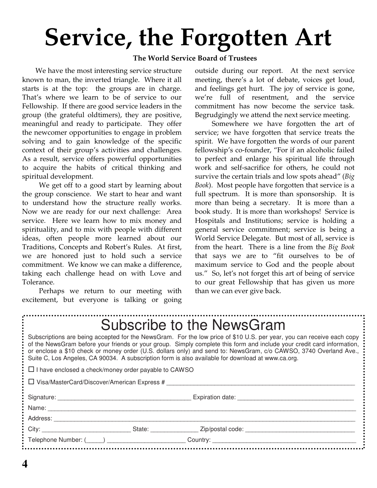# **Service, the Forgotten Art**

### **The World Service Board of Trustees**

We have the most interesting service structure known to man, the inverted triangle. Where it all starts is at the top: the groups are in charge. That's where we learn to be of service to our Fellowship. If there are good service leaders in the group (the grateful oldtimers), they are positive, meaningful and ready to participate. They offer the newcomer opportunities to engage in problem solving and to gain knowledge of the specific context of their group's activities and challenges. As a result, service offers powerful opportunities to acquire the habits of critical thinking and spiritual development.

We get off to a good start by learning about the group conscience. We start to hear and want to understand how the structure really works. Now we are ready for our next challenge: Area service. Here we learn how to mix money and spirituality, and to mix with people with different ideas, often people more learned about our Traditions, Concepts and Robert's Rules. At first, we are honored just to hold such a service commitment. We know we can make a difference, taking each challenge head on with Love and Tolerance.

Perhaps we return to our meeting with excitement, but everyone is talking or going

outside during our report. At the next service meeting, there's a lot of debate, voices get loud, and feelings get hurt. The joy of service is gone, we're full of resentment, and the service commitment has now become the service task. Begrudgingly we attend the next service meeting.

Somewhere we have forgotten the art of service; we have forgotten that service treats the spirit. We have forgotten the words of our parent fellowship's co-founder, "For if an alcoholic failed to perfect and enlarge his spiritual life through work and self-sacrifice for others, he could not survive the certain trials and low spots ahead" (*Big Book*). Most people have forgotten that service is a full spectrum. It is more than sponsorship. It is more than being a secretary. It is more than a book study. It is more than workshops! Service is Hospitals and Institutions; service is holding a general service commitment; service is being a World Service Delegate. But most of all, service is from the heart. There is a line from the *Big Book* that says we are to "fit ourselves to be of maximum service to God and the people about us." So, let's not forget this art of being of service to our great Fellowship that has given us more than we can ever give back.

### Subscribe to the NewsGram

Subscriptions are being accepted for the NewsGram. For the low price of \$10 U.S. per year, you can receive each copy of the NewsGram before your friends or your group. Simply complete this form and include your credit card information, or enclose a \$10 check or money order (U.S. dollars only) and send to: NewsGram, c/o CAWSO, 3740 Overland Ave., Suite C, Los Angeles, CA 90034. A subscription form is also available for download at www.ca.org.

 $\square$  I have enclosed a check/money order payable to CAWSO

 $\Box$  Visa/MasterCard/Discover/American Express #

Signature: \_\_\_\_\_\_\_\_\_\_\_\_\_\_\_\_\_\_\_\_\_\_\_\_\_\_\_\_\_\_\_\_\_\_\_\_\_\_\_ Expiration date: \_\_\_\_\_\_\_\_\_\_\_\_\_\_\_\_\_\_\_\_\_\_\_\_\_\_\_\_\_\_\_\_\_\_

Name: \_\_\_\_\_\_\_\_\_\_\_\_\_\_\_\_\_\_\_\_\_\_\_\_\_\_\_\_\_\_\_\_\_\_\_\_\_\_\_\_\_\_\_\_\_\_\_\_\_\_\_\_\_\_\_\_\_\_\_\_\_\_\_\_\_\_\_\_\_\_\_\_\_\_\_\_\_\_\_\_\_\_\_\_\_\_\_\_\_\_

Address: **and a set of the set of the set of the set of the set of the set of the set of the set of the set of the set of the set of the set of the set of the set of the set of the set of the set of the set of the set of t** 

Telephone Number: (\_\_\_\_\_) \_\_\_\_\_\_\_\_\_\_\_\_\_\_\_\_\_\_\_\_\_\_\_ Country: \_\_\_\_\_\_\_\_\_\_\_\_\_\_\_\_\_\_\_\_\_\_\_\_\_\_\_\_\_\_\_\_\_\_\_\_\_\_\_\_\_\_

City: \_\_\_\_\_\_\_\_\_\_\_\_\_\_\_\_\_\_\_\_\_\_\_\_\_\_ State: \_\_\_\_\_\_\_\_\_\_\_\_\_\_ Zip/postal code: \_\_\_\_\_\_\_\_\_\_\_\_\_\_\_\_\_\_\_\_\_\_\_\_\_\_\_\_\_\_\_\_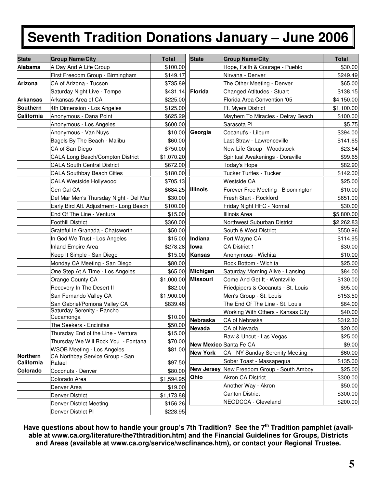### **Seventh Tradition Donations January – June 2006**

| <b>State</b>           | <b>Group Name/City</b>                    | <b>Total</b> | <b>State</b>    | <b>Group Name/City</b>                     | <b>Total</b> |
|------------------------|-------------------------------------------|--------------|-----------------|--------------------------------------------|--------------|
| <b>Alabama</b>         | A Day And A Life Group                    | \$100.00     |                 | Hope, Faith & Courage - Pueblo             | \$30.00      |
|                        | First Freedom Group - Birmingham          | \$149.17     |                 | Nirvana - Denver                           | \$249.49     |
| Arizona                | CA of Arizona - Tucson                    | \$735.89     |                 | The Other Meeting - Denver                 | \$65.00      |
|                        | Saturday Night Live - Tempe               | \$431.14     | <b>Florida</b>  | Changed Attitudes - Stuart                 | \$138.15     |
| <b>Arkansas</b>        | Arkansas Area of CA                       | \$225.00     |                 | Florida Area Convention '05                | \$4,150.00   |
| Southern               | 4th Dimension - Los Angeles               | \$125.00     |                 | Ft. Myers District                         | \$1,100.00   |
| California             | Anonymous - Dana Point                    | \$625.29     |                 | Mayhem To Miracles - Delray Beach          | \$100.00     |
|                        | Anonymous - Los Angeles                   | \$600.00     |                 | Sarasota PI                                | \$5.75       |
|                        | Anonymous - Van Nuys                      | \$10.00      | Georgia         | Cocanut's - Lilburn                        | \$394.00     |
|                        | Bagels By The Beach - Malibu              | \$60.00      |                 | Last Straw - Lawrenceville                 | \$141.65     |
|                        | CA of San Diego                           | \$750.00     |                 | New Life Group - Woodstock                 | \$23.54      |
|                        | <b>CALA Long Beach/Compton District</b>   | \$1,070.20   |                 | Spiritual Awakenings - Doraville           | \$99.65      |
|                        | <b>CALA South Central District</b>        | \$672.00     |                 | Today's Hope                               | \$82.90      |
|                        | <b>CALA Southbay Beach Cities</b>         | \$180.00     |                 | Tucker Turtles - Tucker                    | \$142.00     |
|                        | CALA Westside Hollywood                   | \$705.13     |                 | <b>Westside CA</b>                         | \$25.00      |
|                        | Cen Cal CA                                | \$684.25     | <b>Illinois</b> | Forever Free Meeting - Bloomington         | \$10.00      |
|                        | Del Mar Men's Thursday Night - Del Mar    | \$30.00      |                 | Fresh Start - Rockford                     | \$651.00     |
|                        | Early Bird Att. Adjustment - Long Beach   | \$100.00     |                 | Friday Night HFC - Normal                  | \$30.00      |
|                        | End Of The Line - Ventura                 | \$15.00      |                 | Illinois Area                              | \$5,800.00   |
|                        | <b>Foothill District</b>                  | \$360.00     |                 | Northwest Suburban District                | \$2,262.83   |
|                        | Grateful In Granada - Chatsworth          | \$50.00      |                 | South & West District                      | \$550.96     |
|                        | In God We Trust - Los Angeles             | \$15.00      | Indiana         | Fort Wayne CA                              | \$114.95     |
|                        | <b>Inland Empire Area</b>                 | \$278.28     | lowa            | <b>CA District 1</b>                       | \$30.00      |
|                        | Keep It Simple - San Diego                | \$15.00      | <b>Kansas</b>   | Anonymous - Wichita                        | \$10.00      |
|                        | Monday CA Meeting - San Diego             | \$80.00      |                 | Rock Bottom - Wichita                      | \$25.00      |
|                        | One Step At A Time - Los Angeles          | \$65.00      | <b>Michigan</b> | Saturday Morning Alive - Lansing           | \$84.00      |
|                        | Orange County CA                          | \$1,000.00   | <b>Missouri</b> | Come And Get It - Wentzville               | \$130.00     |
|                        | Recovery In The Desert II                 | \$82.00      |                 | Friedpipers & Cocanuts - St. Louis         | \$95.00      |
|                        | San Fernando Valley CA                    | \$1,900.00   |                 | Men's Group - St. Louis                    | \$153.50     |
|                        | San Gabriel/Pomona Valley CA              | \$839.46     |                 | The End Of The Line - St. Louis            | \$64.00      |
|                        | Saturday Serenity - Rancho                |              |                 | Working With Others - Kansas City          | \$40.00      |
|                        | Cucamonga                                 | \$10.00      | Nebraska        | CA of Nebraska                             | \$312.30     |
|                        | The Seekers - Encinitas                   | \$50.00      | <b>Nevada</b>   | CA of Nevada                               | \$20.00      |
|                        | Thursday End of the Line - Ventura        | \$15.00      |                 | Raw & Uncut - Las Vegas                    | \$25.00      |
|                        | Thursday We Will Rock You - Fontana       | \$70.00      |                 | New Mexico Santa Fe CA                     | \$9.00       |
|                        | <b>WSOB Meeting - Los Angeles</b>         | \$81.00      | <b>New York</b> | CA - NY Sunday Serenity Meeting            | \$60.00      |
| Northern<br>California | CA Northbay Service Group - San<br>Rafael | \$97.50      |                 | Sober Toast - Massapequa                   | \$135.00     |
| Colorado               | Coconuts - Denver                         | \$80.00      |                 | New Jersey New Freedom Group - South Amboy | \$25.00      |
|                        | Colorado Area                             | \$1,594.95   | Ohio            | <b>Akron CA District</b>                   | \$300.00     |
|                        | Denver Area                               | \$19.00      |                 | Another Way - Akron                        | \$50.00      |
|                        | <b>Denver District</b>                    | \$1,173.88   |                 | <b>Canton District</b>                     | \$300.00     |
|                        | <b>Denver District Meeting</b>            | \$156.26     |                 | NEODCCA - Cleveland                        | \$200.00     |
|                        | Denver District PI                        | \$228.95     |                 |                                            |              |

**Have questions about how to handle your group's 7th Tradition? See the 7 th Tradition pamphlet (available at www.ca.org/literature/the7thtradition.htm) and the Financial Guidelines for Groups, Districts and Areas (available at www.ca.org/service/wscfinance.htm), or contact your Regional Trustee.**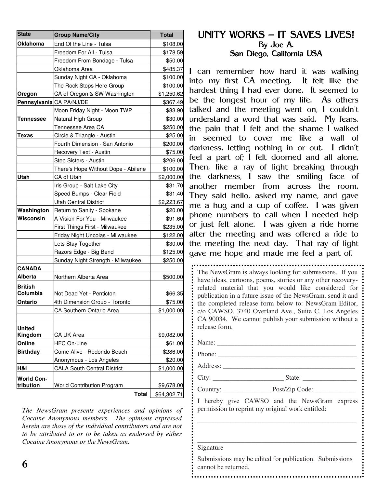| <b>State</b>      | <b>Group Name/City</b>              | <b>Total</b> |
|-------------------|-------------------------------------|--------------|
| <b>Oklahoma</b>   | End Of the Line - Tulsa             | \$108.00     |
|                   | Freedom For All - Tulsa             | \$178.59     |
|                   | Freedom From Bondage - Tulsa        | \$50.00      |
|                   | Oklahoma Area                       | \$485.37     |
|                   | Sunday Night CA - Oklahoma          | \$100.00     |
|                   | The Rock Stops Here Group           | \$100.00     |
| Oregon            | CA of Oregon & SW Washington        | \$1,250.62   |
|                   | Pennsylvania CA PA/NJ/DE            | \$367.49     |
|                   | Moon Friday Night - Moon TWP        | \$83.90      |
| Tennessee         | Natural High Group                  | \$30.00      |
|                   | Tennessee Area CA                   | \$250.00     |
| Texas             | Circle & Triangle - Austin          | \$25.00      |
|                   | Fourth Dimension - San Antonio      | \$200.00     |
|                   | Recovery Text - Austin              | \$75.00      |
|                   | Step Sisters - Austin               | \$206.00     |
|                   | There's Hope Without Dope - Abilene | \$100.00     |
| Utah              | <b>CA of Utah</b>                   | \$2,000.00   |
|                   | Iris Group - Salt Lake City         | \$31.70      |
|                   | Speed Bumps - Clear Field           | \$31.40      |
|                   | <b>Utah Central District</b>        | \$2,223.67   |
| Washington        | Return to Sanity - Spokane          | \$20.00      |
| Wisconsin         | A Vision For You - Milwaukee        | \$91.60      |
|                   | First Things First - Milwaukee      | \$235.00     |
|                   | Friday Night Uncolas - Milwaukee    | \$122.00     |
|                   | Lets Stay Together                  | \$30.00      |
|                   | Razors Edge - Big Bend              | \$125.00     |
|                   | Sunday Night Strength - Milwaukee   | \$250.00     |
| <b>CANADA</b>     |                                     |              |
| Alberta           | Northern Alberta Area               | \$500.00     |
| <b>British</b>    |                                     |              |
| Columbia          | Not Dead Yet - Penticton            | \$66.35      |
| Ontario           | 4th Dimension Group - Toronto       | \$75.00      |
|                   | <b>CA Southern Ontario Area</b>     | \$1,000.00   |
|                   |                                     |              |
| <b>United</b>     |                                     |              |
| Kingdom           | CA UK Area                          | \$9,082.00   |
| Online            | <b>HFC On-Line</b>                  | \$61.00      |
| <b>Birthday</b>   | Come Alive - Redondo Beach          | \$286.00     |
|                   | Anonymous - Los Angeles             | \$20.00      |
| H&I               | <b>CALA South Central District</b>  | \$1,000.00   |
| <b>World Con-</b> |                                     |              |
| tribution         | <b>World Contribution Program</b>   | \$9,678.00   |
|                   | <b>Total</b>                        | \$64,302.71  |

*The NewsGram presents experiences and opinions of Cocaine Anonymous members. The opinions expressed herein are those of the individual contributors and are not to be attributed to or to be taken as endorsed by either Cocaine Anonymous or the NewsGram.*

### UNITY WORKS - IT SAVES LIVES! By Joe A. San Diego, California USA

I can remember how hard it was walking into my first CA meeting. It felt like the hardest thing I had ever done. It seemed to be the longest hour of my life. As others talked and the meeting went on, I couldn't understand a word that was said. My fears, the pain that  $I$  felt and the shame  $I$  walked in seemed to cover me like a wall of darkness, letting nothing in or out. I didn't feel a part of; I felt doomed and all alone. Then, like a ray of light breaking through the darkness, I saw the smiling face of another member from across the room. They said hello, asked my name, and gave me a hug and a cup of coffee. I was given phone numbers to call when I needed help or just felt alone. I was given a ride home after the meeting and was offered a ride to the meeting the next day. That ray of light gave me hope and made me feel a part of.

The NewsGram is always looking for submissions. If you have ideas, cartoons, poems, stories or any other recoveryrelated material that you would like considered for publication in a future issue of the NewsGram, send it and the completed release form below to: NewsGram Editor, c/o CAWSO, 3740 Overland Ave., Suite C, Los Angeles CA 90034. We cannot publish your submission without a release form.

Name:

Phone:

Address: \_\_\_\_\_\_\_\_\_\_\_\_\_\_\_\_\_\_\_\_\_\_\_\_\_\_\_\_\_\_\_\_\_\_\_\_\_\_\_

City: \_\_\_\_\_\_\_\_\_\_\_\_\_\_\_\_\_\_\_\_\_ State: \_\_\_\_\_\_\_\_\_\_\_\_\_\_\_\_

Country: \_\_\_\_\_\_\_\_\_\_\_\_\_\_ Post/Zip Code: \_\_\_\_\_\_\_\_\_\_\_\_

I hereby give CAWSO and the NewsGram express permission to reprint my original work entitled:

\_\_\_\_\_\_\_\_\_\_\_\_\_\_\_\_\_\_\_\_\_\_\_\_\_\_\_\_\_\_\_\_\_\_\_\_\_\_\_\_\_\_\_\_\_\_\_

\_\_\_\_\_\_\_\_\_\_\_\_\_\_\_\_\_\_\_\_\_\_\_\_\_\_\_\_\_\_\_\_\_\_\_\_\_\_\_\_\_\_\_\_\_\_\_

Signature

Submissions may be edited for publication. Submissions cannot be returned.

**6**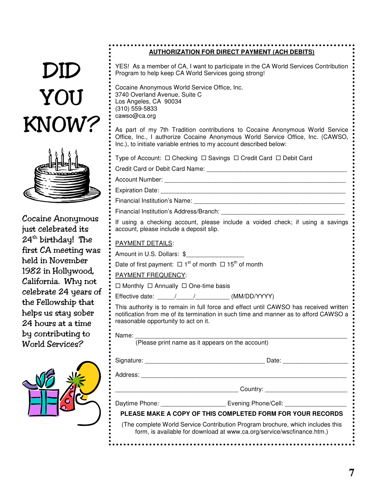# DID YOU KNOW?



Cocaine Anonymous just celebrated its 24<sup>th</sup> birthday! The first CA meeting was held in November 1982 in Hollywood, California. Why not celebrate 24 years of the Fellowship that helps us stay sober 24 hours at a time by contributing to World Services?



### ................................. **AUTHORIZATION FOR DIRECT PAYMENT (ACH DEBITS)**

YES! As a member of CA, I want to participate in the CA World Services Contribution Program to help keep CA World Services going strong!

Cocaine Anonymous World Service Office, Inc. 3740 Overland Avenue, Suite C Los Angeles, CA 90034 (310) 559-5833 cawso@ca.org

As part of my 7th Tradition contributions to Cocaine Anonymous World Service Office, Inc., I authorize Cocaine Anonymous World Service Office, Inc. (CAWSO, Inc.), to initiate variable entries to my account described below:

| Type of Account: □ Checking □ Savings □ Credit Card □ Debit Card |  |  |
|------------------------------------------------------------------|--|--|
|                                                                  |  |  |

- Credit Card or Debit Card Name: **Example 2018**
- Account Number: **Example 20** and 20 and 20 and 20 and 20 and 20 and 20 and 20 and 20 and 20 and 20 and 20 and 20 and 20 and 20 and 20 and 20 and 20 and 20 and 20 and 20 and 20 and 20 and 20 and 20 and 20 and 20 and 20 and
- Expiration Date: \_\_\_\_\_\_\_\_\_\_\_\_\_\_\_\_\_\_\_\_\_\_\_\_\_\_\_\_\_\_\_\_\_\_\_\_\_\_\_\_\_\_\_\_\_\_\_\_\_\_\_\_\_\_
- Financial Institution's Name: **Example 2018**

Financial Institution's Address/Branch:

If using a checking account, please include a voided check; if using a savings account, please include a deposit slip.

### PAYMENT DETAILS:

Amount in U.S. Dollars: \$

Date of first payment:  $\Box$  1<sup>st</sup> of month  $\Box$  15<sup>th</sup> of month

### PAYMENT FREQUENCY:

 $\Box$  Monthly  $\Box$  Annually  $\Box$  One-time basis

Effective date:  $\frac{1}{2}$  /  $\frac{1}{2}$  (MM/DD/YYYY)

This authority is to remain in full force and effect until CAWSO has received written notification from me of its termination in such time and manner as to afford CAWSO a reasonable opportunity to act on it.

Name: \_\_\_\_\_\_\_\_\_\_\_\_\_\_\_\_\_\_\_\_\_\_\_\_\_\_\_\_\_\_\_\_\_\_\_\_\_\_\_\_\_\_\_\_\_\_\_\_\_\_\_\_\_\_\_\_\_\_\_\_\_\_

(Please print name as it appears on the account)

Signature: \_\_\_\_\_\_\_\_\_\_\_\_\_\_\_\_\_\_\_\_\_\_\_\_\_\_\_\_\_\_\_\_\_\_\_ Date: \_\_\_\_\_\_\_\_\_\_\_\_\_\_\_\_\_\_\_

Address:

\_\_\_\_\_\_\_\_\_\_\_\_\_\_\_\_\_\_\_\_\_\_\_\_\_\_\_\_\_\_\_\_\_\_\_\_ Country: \_\_\_\_\_\_\_\_\_\_\_\_\_\_\_\_\_\_\_\_\_\_\_\_

Daytime Phone: <br>
Evening Phone/Cell:

**PLEASE MAKE A COPY OF THIS COMPLETED FORM FOR YOUR RECORDS**

(The complete World Service Contribution Program brochure, which includes this form, is available for download at www.ca.org/service/wscfinance.htm.)